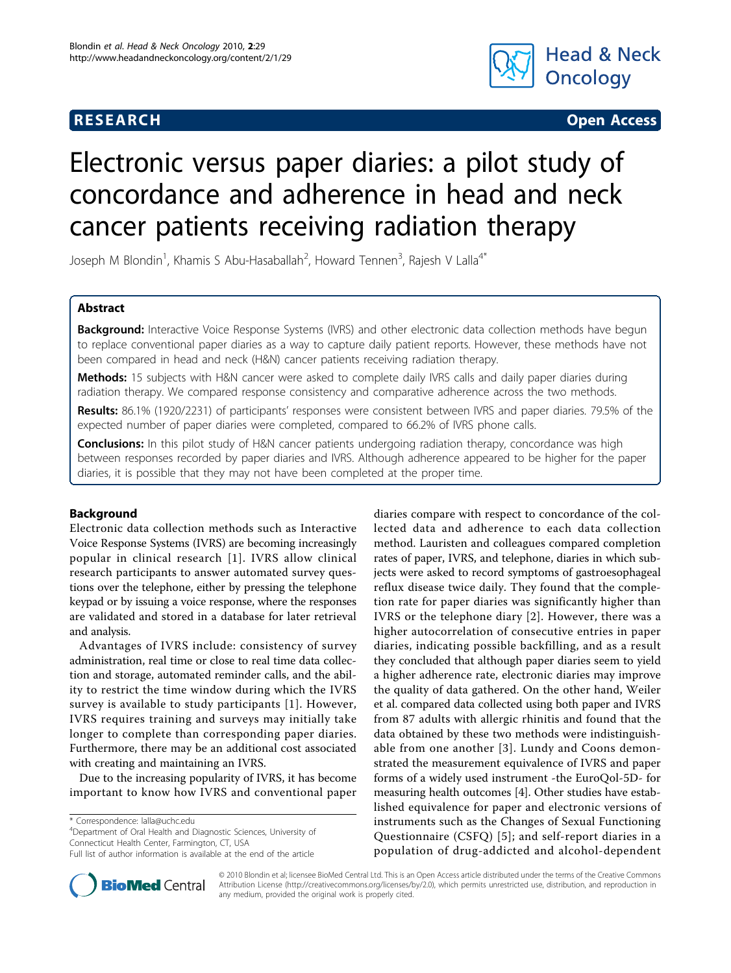# **RESEARCH CHRISTIAN CONSUMING CONTRACT CONSUMING CONSUMING CONSUMING CONSUMING CONSUMING CONSUMING CONSUMING CO**



# Electronic versus paper diaries: a pilot study of concordance and adherence in head and neck cancer patients receiving radiation therapy

Joseph M Blondin<sup>1</sup>, Khamis S Abu-Hasaballah<sup>2</sup>, Howard Tennen<sup>3</sup>, Rajesh V Lalla<sup>4\*</sup>

# Abstract

Background: Interactive Voice Response Systems (IVRS) and other electronic data collection methods have begun to replace conventional paper diaries as a way to capture daily patient reports. However, these methods have not been compared in head and neck (H&N) cancer patients receiving radiation therapy.

Methods: 15 subjects with H&N cancer were asked to complete daily IVRS calls and daily paper diaries during radiation therapy. We compared response consistency and comparative adherence across the two methods.

Results: 86.1% (1920/2231) of participants' responses were consistent between IVRS and paper diaries. 79.5% of the expected number of paper diaries were completed, compared to 66.2% of IVRS phone calls.

**Conclusions:** In this pilot study of H&N cancer patients undergoing radiation therapy, concordance was high between responses recorded by paper diaries and IVRS. Although adherence appeared to be higher for the paper diaries, it is possible that they may not have been completed at the proper time.

# Background

Electronic data collection methods such as Interactive Voice Response Systems (IVRS) are becoming increasingly popular in clinical research [[1](#page-4-0)]. IVRS allow clinical research participants to answer automated survey questions over the telephone, either by pressing the telephone keypad or by issuing a voice response, where the responses are validated and stored in a database for later retrieval and analysis.

Advantages of IVRS include: consistency of survey administration, real time or close to real time data collection and storage, automated reminder calls, and the ability to restrict the time window during which the IVRS survey is available to study participants [[1\]](#page-4-0). However, IVRS requires training and surveys may initially take longer to complete than corresponding paper diaries. Furthermore, there may be an additional cost associated with creating and maintaining an IVRS.

Due to the increasing popularity of IVRS, it has become important to know how IVRS and conventional paper

\* Correspondence: [lalla@uchc.edu](mailto:lalla@uchc.edu)

4 Department of Oral Health and Diagnostic Sciences, University of Connecticut Health Center, Farmington, CT, USA

Full list of author information is available at the end of the article





© 2010 Blondin et al; licensee BioMed Central Ltd. This is an Open Access article distributed under the terms of the Creative Commons Attribution License [\(http://creativecommons.org/licenses/by/2.0](http://creativecommons.org/licenses/by/2.0)), which permits unrestricted use, distribution, and reproduction in any medium, provided the original work is properly cited.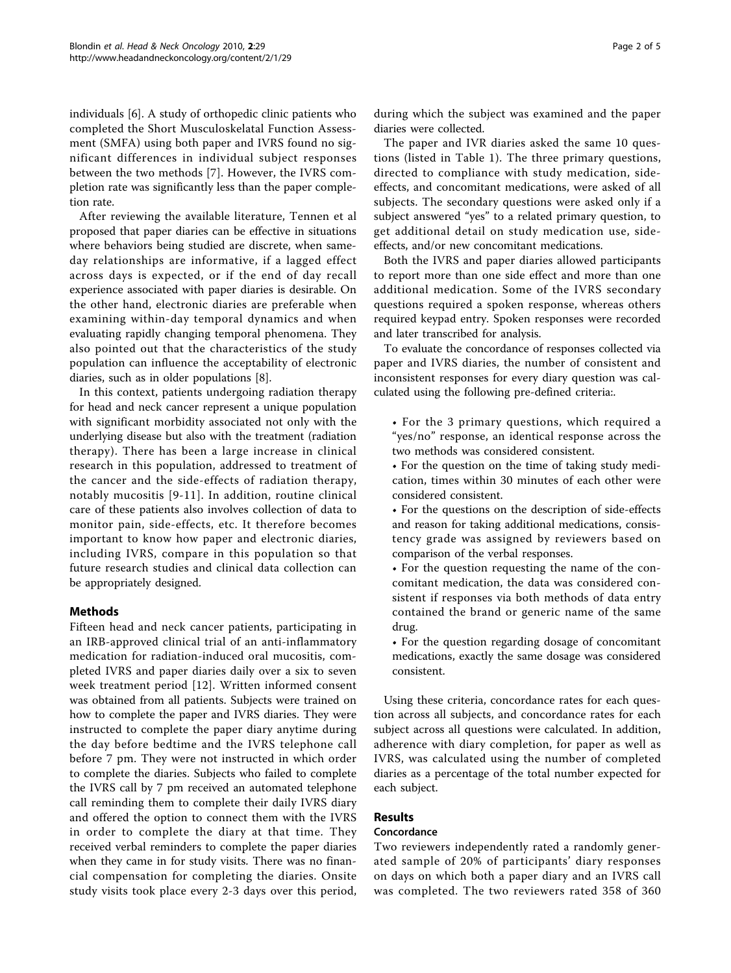individuals [\[6](#page-4-0)]. A study of orthopedic clinic patients who completed the Short Musculoskelatal Function Assessment (SMFA) using both paper and IVRS found no significant differences in individual subject responses between the two methods [[7\]](#page-4-0). However, the IVRS completion rate was significantly less than the paper completion rate.

After reviewing the available literature, Tennen et al proposed that paper diaries can be effective in situations where behaviors being studied are discrete, when sameday relationships are informative, if a lagged effect across days is expected, or if the end of day recall experience associated with paper diaries is desirable. On the other hand, electronic diaries are preferable when examining within-day temporal dynamics and when evaluating rapidly changing temporal phenomena. They also pointed out that the characteristics of the study population can influence the acceptability of electronic diaries, such as in older populations [\[8](#page-4-0)].

In this context, patients undergoing radiation therapy for head and neck cancer represent a unique population with significant morbidity associated not only with the underlying disease but also with the treatment (radiation therapy). There has been a large increase in clinical research in this population, addressed to treatment of the cancer and the side-effects of radiation therapy, notably mucositis [[9](#page-4-0)-[11](#page-4-0)]. In addition, routine clinical care of these patients also involves collection of data to monitor pain, side-effects, etc. It therefore becomes important to know how paper and electronic diaries, including IVRS, compare in this population so that future research studies and clinical data collection can be appropriately designed.

# Methods

Fifteen head and neck cancer patients, participating in an IRB-approved clinical trial of an anti-inflammatory medication for radiation-induced oral mucositis, completed IVRS and paper diaries daily over a six to seven week treatment period [[12\]](#page-4-0). Written informed consent was obtained from all patients. Subjects were trained on how to complete the paper and IVRS diaries. They were instructed to complete the paper diary anytime during the day before bedtime and the IVRS telephone call before 7 pm. They were not instructed in which order to complete the diaries. Subjects who failed to complete the IVRS call by 7 pm received an automated telephone call reminding them to complete their daily IVRS diary and offered the option to connect them with the IVRS in order to complete the diary at that time. They received verbal reminders to complete the paper diaries when they came in for study visits. There was no financial compensation for completing the diaries. Onsite study visits took place every 2-3 days over this period,

The paper and IVR diaries asked the same 10 questions (listed in Table [1\)](#page-2-0). The three primary questions, directed to compliance with study medication, sideeffects, and concomitant medications, were asked of all subjects. The secondary questions were asked only if a subject answered "yes" to a related primary question, to get additional detail on study medication use, sideeffects, and/or new concomitant medications.

Both the IVRS and paper diaries allowed participants to report more than one side effect and more than one additional medication. Some of the IVRS secondary questions required a spoken response, whereas others required keypad entry. Spoken responses were recorded and later transcribed for analysis.

To evaluate the concordance of responses collected via paper and IVRS diaries, the number of consistent and inconsistent responses for every diary question was calculated using the following pre-defined criteria:.

- For the 3 primary questions, which required a "yes/no" response, an identical response across the two methods was considered consistent.
- For the question on the time of taking study medication, times within 30 minutes of each other were considered consistent.
- For the questions on the description of side-effects and reason for taking additional medications, consistency grade was assigned by reviewers based on comparison of the verbal responses.
- For the question requesting the name of the concomitant medication, the data was considered consistent if responses via both methods of data entry contained the brand or generic name of the same drug.
- For the question regarding dosage of concomitant medications, exactly the same dosage was considered consistent.

Using these criteria, concordance rates for each question across all subjects, and concordance rates for each subject across all questions were calculated. In addition, adherence with diary completion, for paper as well as IVRS, was calculated using the number of completed diaries as a percentage of the total number expected for each subject.

# Results

#### Concordance

Two reviewers independently rated a randomly generated sample of 20% of participants' diary responses on days on which both a paper diary and an IVRS call was completed. The two reviewers rated 358 of 360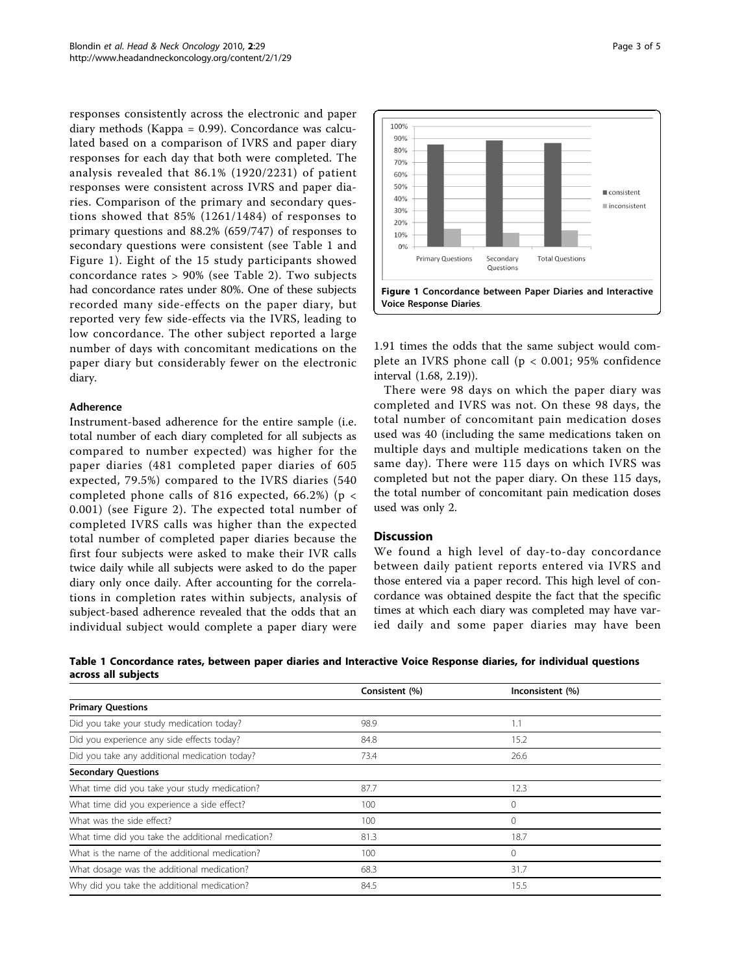<span id="page-2-0"></span>responses consistently across the electronic and paper diary methods (Kappa = 0.99). Concordance was calculated based on a comparison of IVRS and paper diary responses for each day that both were completed. The analysis revealed that 86.1% (1920/2231) of patient responses were consistent across IVRS and paper diaries. Comparison of the primary and secondary questions showed that 85% (1261/1484) of responses to primary questions and 88.2% (659/747) of responses to secondary questions were consistent (see Table 1 and Figure 1). Eight of the 15 study participants showed concordance rates > 90% (see Table [2\)](#page-3-0). Two subjects had concordance rates under 80%. One of these subjects recorded many side-effects on the paper diary, but reported very few side-effects via the IVRS, leading to low concordance. The other subject reported a large number of days with concomitant medications on the paper diary but considerably fewer on the electronic diary.

### Adherence

Instrument-based adherence for the entire sample (i.e. total number of each diary completed for all subjects as compared to number expected) was higher for the paper diaries (481 completed paper diaries of 605 expected, 79.5%) compared to the IVRS diaries (540 completed phone calls of 816 expected, 66.2%) ( $p <$ 0.001) (see Figure [2\)](#page-3-0). The expected total number of completed IVRS calls was higher than the expected total number of completed paper diaries because the first four subjects were asked to make their IVR calls twice daily while all subjects were asked to do the paper diary only once daily. After accounting for the correlations in completion rates within subjects, analysis of subject-based adherence revealed that the odds that an individual subject would complete a paper diary were



1.91 times the odds that the same subject would complete an IVRS phone call (p < 0.001; 95% confidence interval (1.68, 2.19)).

There were 98 days on which the paper diary was completed and IVRS was not. On these 98 days, the total number of concomitant pain medication doses used was 40 (including the same medications taken on multiple days and multiple medications taken on the same day). There were 115 days on which IVRS was completed but not the paper diary. On these 115 days, the total number of concomitant pain medication doses used was only 2.

#### **Discussion**

We found a high level of day-to-day concordance between daily patient reports entered via IVRS and those entered via a paper record. This high level of concordance was obtained despite the fact that the specific times at which each diary was completed may have varied daily and some paper diaries may have been

Table 1 Concordance rates, between paper diaries and Interactive Voice Response diaries, for individual questions across all subjects

|                                                   | Consistent (%) | Inconsistent (%) |  |
|---------------------------------------------------|----------------|------------------|--|
| <b>Primary Questions</b>                          |                |                  |  |
| Did you take your study medication today?         | 98.9           | 1.1              |  |
| Did you experience any side effects today?        | 84.8           | 15.2             |  |
| Did you take any additional medication today?     | 73.4           | 26.6             |  |
| <b>Secondary Questions</b>                        |                |                  |  |
| What time did you take your study medication?     | 87.7           | 12.3             |  |
| What time did you experience a side effect?       | 100            | $\circ$          |  |
| What was the side effect?                         | 100            | $\circ$          |  |
| What time did you take the additional medication? | 81.3           | 18.7             |  |
| What is the name of the additional medication?    | 100            | $\circ$          |  |
| What dosage was the additional medication?        | 68.3           | 31.7             |  |
| Why did you take the additional medication?       | 84.5           | 15.5             |  |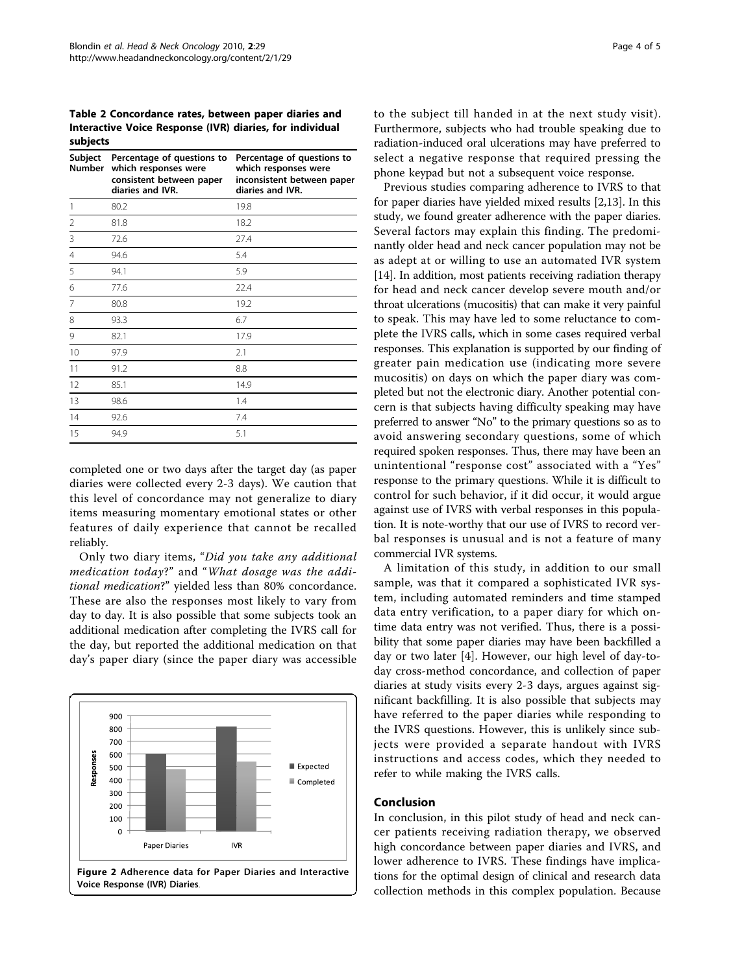<span id="page-3-0"></span>Table 2 Concordance rates, between paper diaries and Interactive Voice Response (IVR) diaries, for individual subjects

| Subject<br><b>Number</b> | Percentage of questions to<br>which responses were<br>consistent between paper<br>diaries and IVR. | Percentage of questions to<br>which responses were<br>inconsistent between paper<br>diaries and IVR. |
|--------------------------|----------------------------------------------------------------------------------------------------|------------------------------------------------------------------------------------------------------|
| 1                        | 80.2                                                                                               | 19.8                                                                                                 |
| 2                        | 81.8                                                                                               | 18.2                                                                                                 |
| 3                        | 72.6                                                                                               | 27.4                                                                                                 |
| 4                        | 94.6                                                                                               | 5.4                                                                                                  |
| 5                        | 94.1                                                                                               | 5.9                                                                                                  |
| 6                        | 77.6                                                                                               | 22.4                                                                                                 |
| 7                        | 80.8                                                                                               | 19.2                                                                                                 |
| 8                        | 93.3                                                                                               | 6.7                                                                                                  |
| 9                        | 82.1                                                                                               | 17.9                                                                                                 |
| 10                       | 97.9                                                                                               | 2.1                                                                                                  |
| 11                       | 91.2                                                                                               | 8.8                                                                                                  |
| 12                       | 85.1                                                                                               | 14.9                                                                                                 |
| 13                       | 98.6                                                                                               | 1.4                                                                                                  |
| 14                       | 92.6                                                                                               | 7.4                                                                                                  |
| 15                       | 94.9                                                                                               | 5.1                                                                                                  |

completed one or two days after the target day (as paper diaries were collected every 2-3 days). We caution that this level of concordance may not generalize to diary items measuring momentary emotional states or other features of daily experience that cannot be recalled reliably.

Only two diary items, "Did you take any additional medication today?" and "What dosage was the additional medication?" yielded less than 80% concordance. These are also the responses most likely to vary from day to day. It is also possible that some subjects took an additional medication after completing the IVRS call for the day, but reported the additional medication on that day's paper diary (since the paper diary was accessible



to the subject till handed in at the next study visit). Furthermore, subjects who had trouble speaking due to radiation-induced oral ulcerations may have preferred to select a negative response that required pressing the phone keypad but not a subsequent voice response.

Previous studies comparing adherence to IVRS to that for paper diaries have yielded mixed results [\[2,13](#page-4-0)]. In this study, we found greater adherence with the paper diaries. Several factors may explain this finding. The predominantly older head and neck cancer population may not be as adept at or willing to use an automated IVR system [[14](#page-4-0)]. In addition, most patients receiving radiation therapy for head and neck cancer develop severe mouth and/or throat ulcerations (mucositis) that can make it very painful to speak. This may have led to some reluctance to complete the IVRS calls, which in some cases required verbal responses. This explanation is supported by our finding of greater pain medication use (indicating more severe mucositis) on days on which the paper diary was completed but not the electronic diary. Another potential concern is that subjects having difficulty speaking may have preferred to answer "No" to the primary questions so as to avoid answering secondary questions, some of which required spoken responses. Thus, there may have been an unintentional "response cost" associated with a "Yes" response to the primary questions. While it is difficult to control for such behavior, if it did occur, it would argue against use of IVRS with verbal responses in this population. It is note-worthy that our use of IVRS to record verbal responses is unusual and is not a feature of many commercial IVR systems.

A limitation of this study, in addition to our small sample, was that it compared a sophisticated IVR system, including automated reminders and time stamped data entry verification, to a paper diary for which ontime data entry was not verified. Thus, there is a possibility that some paper diaries may have been backfilled a day or two later [[4\]](#page-4-0). However, our high level of day-today cross-method concordance, and collection of paper diaries at study visits every 2-3 days, argues against significant backfilling. It is also possible that subjects may have referred to the paper diaries while responding to the IVRS questions. However, this is unlikely since subjects were provided a separate handout with IVRS instructions and access codes, which they needed to refer to while making the IVRS calls.

## Conclusion

In conclusion, in this pilot study of head and neck cancer patients receiving radiation therapy, we observed high concordance between paper diaries and IVRS, and lower adherence to IVRS. These findings have implications for the optimal design of clinical and research data collection methods in this complex population. Because